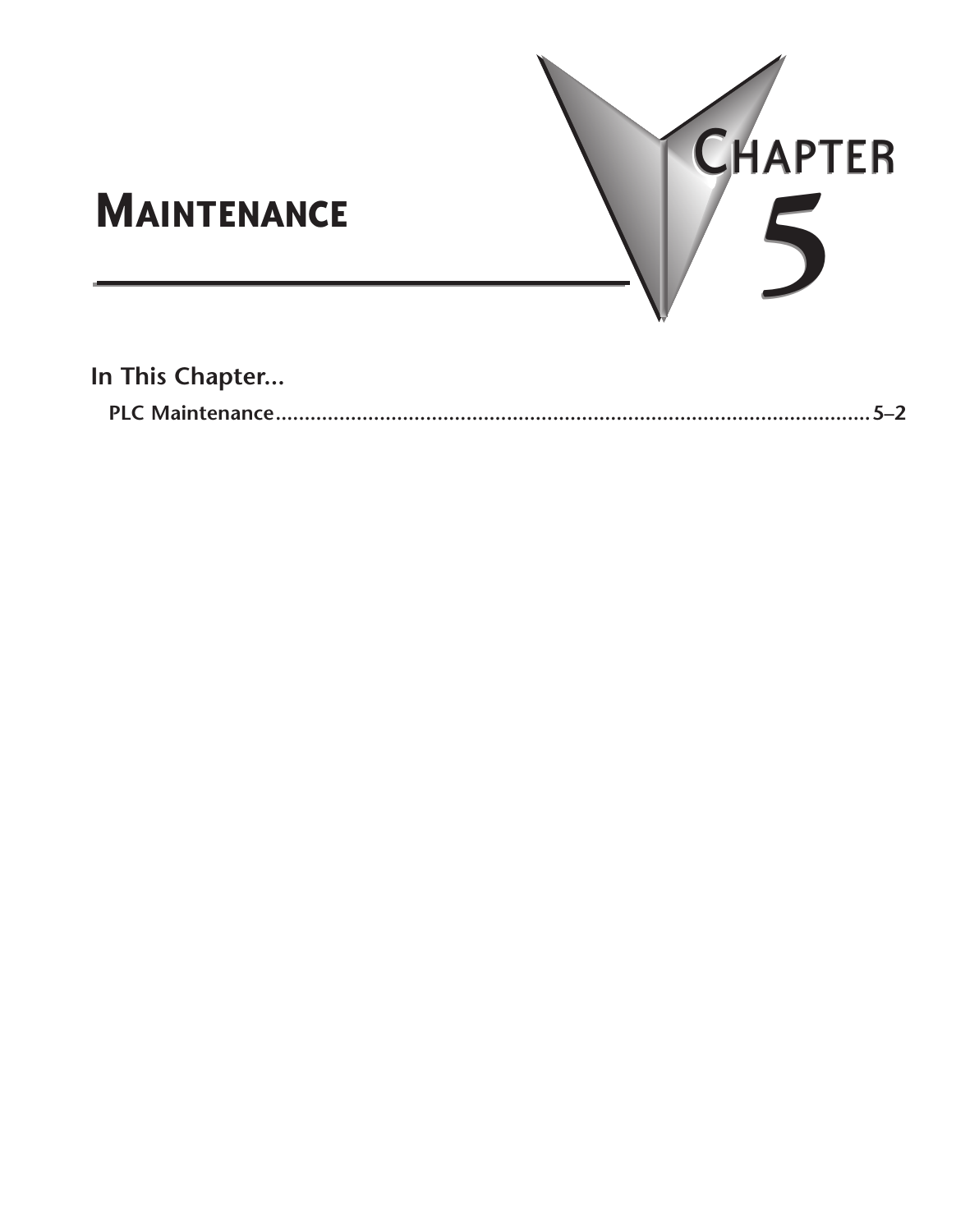

**In This Chapter...**

|--|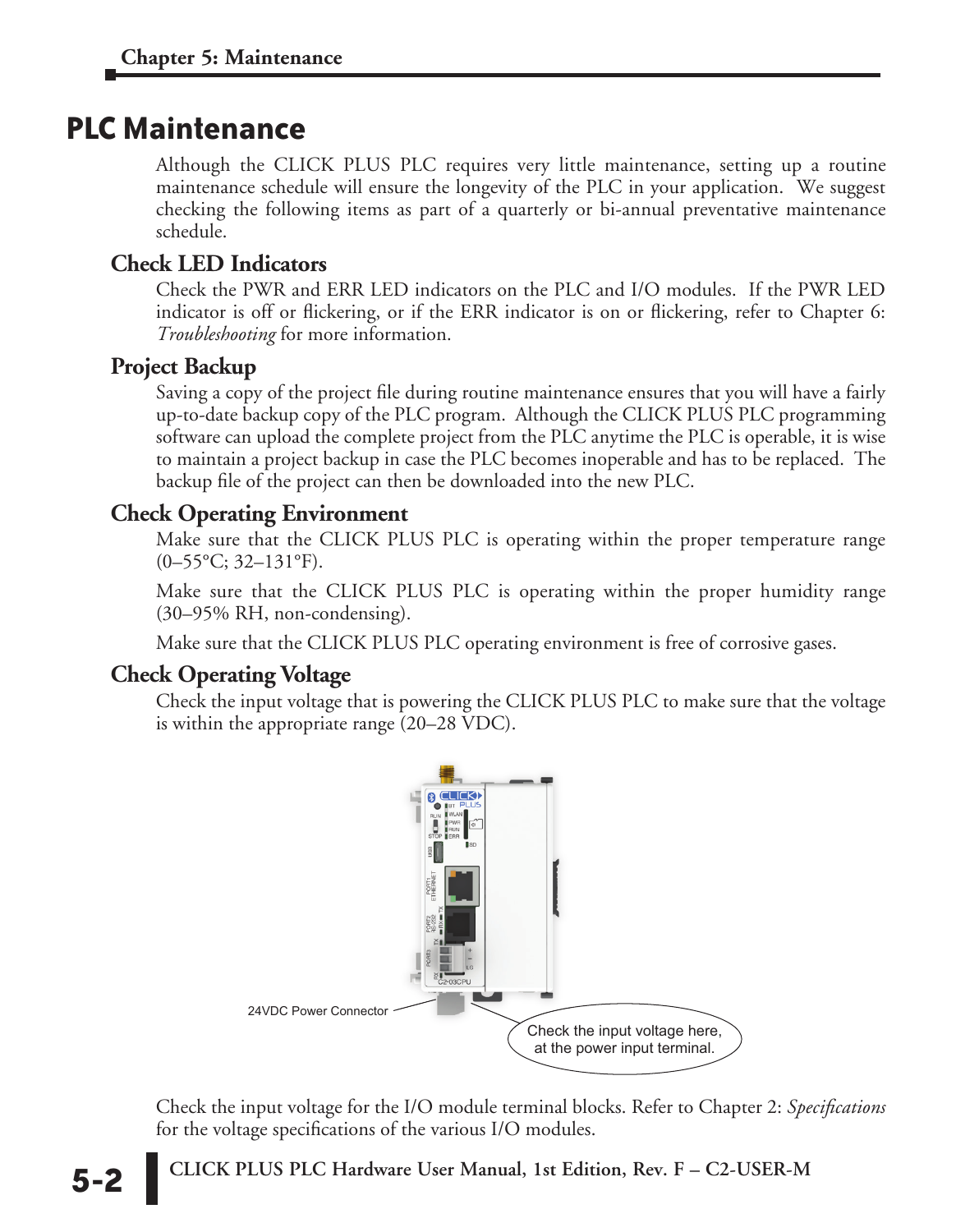# <span id="page-1-0"></span>**PLC Maintenance**

Although the CLICK PLUS PLC requires very little maintenance, setting up a routine maintenance schedule will ensure the longevity of the PLC in your application. We suggest checking the following items as part of a quarterly or bi-annual preventative maintenance schedule.

### **Check LED Indicators**

Check the PWR and ERR LED indicators on the PLC and I/O modules. If the PWR LED indicator is off or flickering, or if the ERR indicator is on or flickering, refer to Chapter 6: *Troubleshooting* for more information.

#### **Project Backup**

Saving a copy of the project file during routine maintenance ensures that you will have a fairly up-to-date backup copy of the PLC program. Although the CLICK PLUS PLC programming software can upload the complete project from the PLC anytime the PLC is operable, it is wise to maintain a project backup in case the PLC becomes inoperable and has to be replaced. The backup file of the project can then be downloaded into the new PLC.

# **Check Operating Environment**

Make sure that the CLICK PLUS PLC is operating within the proper temperature range  $(0-55\text{°C}; 32-131\text{°F}).$ 

Make sure that the CLICK PLUS PLC is operating within the proper humidity range (30–95% RH, non-condensing).

Make sure that the CLICK PLUS PLC operating environment is free of corrosive gases.

# **Check Operating Voltage**

Check the input voltage that is powering the CLICK PLUS PLC to make sure that the voltage is within the appropriate range (20–28 VDC).



Check the input voltage for the I/O module terminal blocks. Refer to Chapter 2: *Specifications*  for the voltage specifications of the various I/O modules.

**CLICK PLUS PLC Hardware User Manual, 1st Edition, Rev. F – C2-USER-M 5-2**